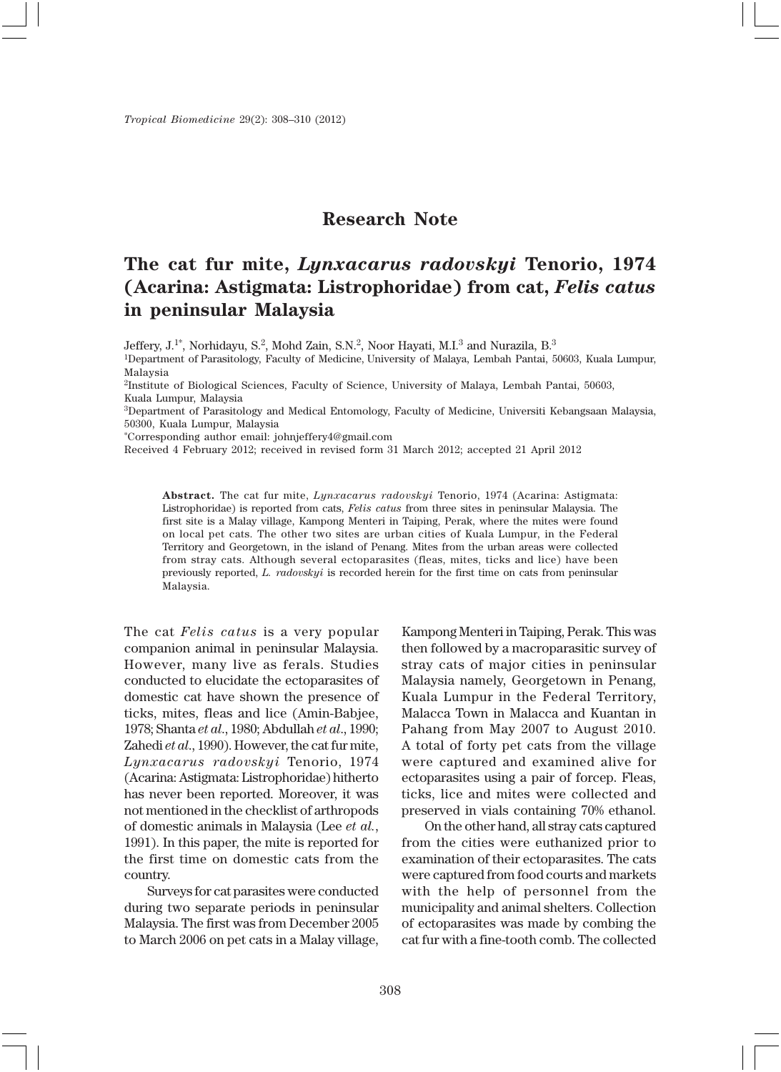*Tropical Biomedicine* 29(2): 308–310 (2012)

## **Research Note**

## **The cat fur mite,** *Lynxacarus radovskyi* **Tenorio, 1974 (Acarina: Astigmata: Listrophoridae) from cat,** *Felis catus* **in peninsular Malaysia**

Jeffery, J.1\*, Norhidayu, S.2, Mohd Zain, S.N.2, Noor Hayati, M.I.3 and Nurazila, B.3

1Department of Parasitology, Faculty of Medicine, University of Malaya, Lembah Pantai, 50603, Kuala Lumpur, Malaysia

2Institute of Biological Sciences, Faculty of Science, University of Malaya, Lembah Pantai, 50603, Kuala Lumpur, Malaysia

3Department of Parasitology and Medical Entomology, Faculty of Medicine, Universiti Kebangsaan Malaysia, 50300, Kuala Lumpur, Malaysia

\*Corresponding author email: johnjeffery4@gmail.com

Received 4 February 2012; received in revised form 31 March 2012; accepted 21 April 2012

**Abstract.** The cat fur mite, *Lynxacarus radovskyi* Tenorio, 1974 (Acarina: Astigmata: Listrophoridae) is reported from cats, *Felis catus* from three sites in peninsular Malaysia. The first site is a Malay village, Kampong Menteri in Taiping, Perak, where the mites were found on local pet cats. The other two sites are urban cities of Kuala Lumpur, in the Federal Territory and Georgetown, in the island of Penang. Mites from the urban areas were collected from stray cats. Although several ectoparasites (fleas, mites, ticks and lice) have been previously reported, *L. radovskyi* is recorded herein for the first time on cats from peninsular Malaysia.

The cat *Felis catus* is a very popular companion animal in peninsular Malaysia. However, many live as ferals. Studies conducted to elucidate the ectoparasites of domestic cat have shown the presence of ticks, mites, fleas and lice (Amin-Babjee, 1978; Shanta *et al*., 1980; Abdullah *et al*., 1990; Zahedi *et al*., 1990). However, the cat fur mite, *Lynxacarus radovskyi* Tenorio, 1974 (Acarina: Astigmata: Listrophoridae) hitherto has never been reported. Moreover, it was not mentioned in the checklist of arthropods of domestic animals in Malaysia (Lee *et al.*, 1991). In this paper, the mite is reported for the first time on domestic cats from the country.

Surveys for cat parasites were conducted during two separate periods in peninsular Malaysia. The first was from December 2005 to March 2006 on pet cats in a Malay village,

Kampong Menteri in Taiping, Perak. This was then followed by a macroparasitic survey of stray cats of major cities in peninsular Malaysia namely, Georgetown in Penang, Kuala Lumpur in the Federal Territory, Malacca Town in Malacca and Kuantan in Pahang from May 2007 to August 2010. A total of forty pet cats from the village were captured and examined alive for ectoparasites using a pair of forcep. Fleas, ticks, lice and mites were collected and preserved in vials containing 70% ethanol.

On the other hand, all stray cats captured from the cities were euthanized prior to examination of their ectoparasites. The cats were captured from food courts and markets with the help of personnel from the municipality and animal shelters. Collection of ectoparasites was made by combing the cat fur with a fine-tooth comb. The collected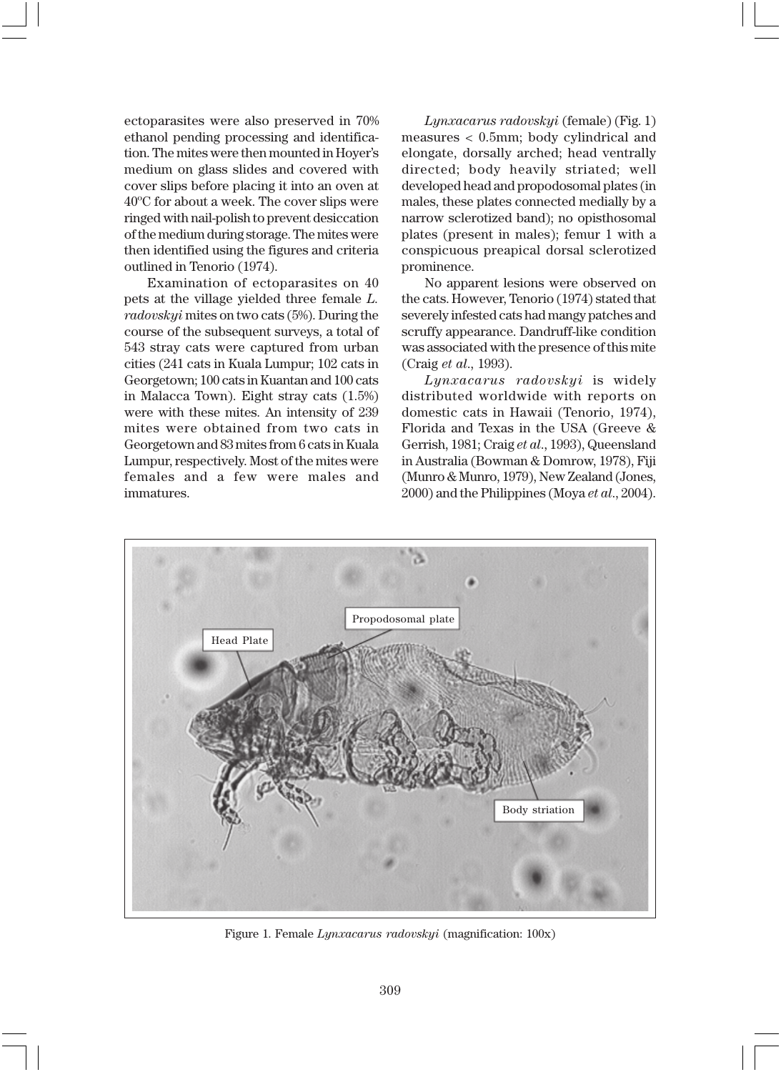ectoparasites were also preserved in 70% ethanol pending processing and identification. The mites were then mounted in Hoyer's medium on glass slides and covered with cover slips before placing it into an oven at 40ºC for about a week. The cover slips were ringed with nail-polish to prevent desiccation of the medium during storage. The mites were then identified using the figures and criteria outlined in Tenorio (1974).

Examination of ectoparasites on 40 pets at the village yielded three female *L. radovskyi* mites on two cats (5%). During the course of the subsequent surveys, a total of 543 stray cats were captured from urban cities (241 cats in Kuala Lumpur; 102 cats in Georgetown; 100 cats in Kuantan and 100 cats in Malacca Town). Eight stray cats (1.5%) were with these mites. An intensity of 239 mites were obtained from two cats in Georgetown and 83 mites from 6 cats in Kuala Lumpur, respectively. Most of the mites were females and a few were males and immatures.

*Lynxacarus radovskyi* (female) (Fig. 1) measures < 0.5mm; body cylindrical and elongate, dorsally arched; head ventrally directed; body heavily striated; well developed head and propodosomal plates (in males, these plates connected medially by a narrow sclerotized band); no opisthosomal plates (present in males); femur 1 with a conspicuous preapical dorsal sclerotized prominence.

No apparent lesions were observed on the cats. However, Tenorio (1974) stated that severely infested cats had mangy patches and scruffy appearance. Dandruff-like condition was associated with the presence of this mite (Craig *et al*., 1993).

*Lynxacarus radovskyi* is widely distributed worldwide with reports on domestic cats in Hawaii (Tenorio, 1974), Florida and Texas in the USA (Greeve & Gerrish, 1981; Craig *et al*., 1993), Queensland in Australia (Bowman & Domrow, 1978), Fiji (Munro & Munro, 1979), New Zealand (Jones, 2000) and the Philippines (Moya *et al*., 2004).



Figure 1. Female *Lynxacarus radovskyi* (magnification: 100x)